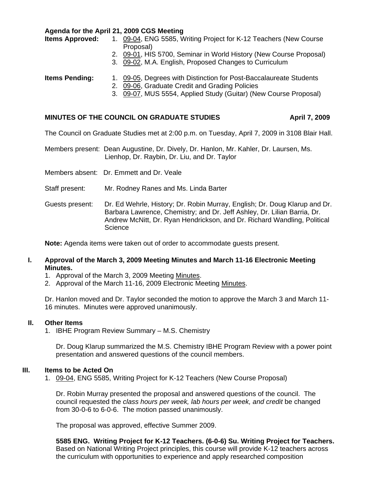**Agenda for the April 21, 2009 CGS Meeting** 

- **Items Approved:** 1. [09-04,](http://www.eiu.edu/~eiucgs/currentagendaitems/agenda09-04.pdf) ENG 5585, Writing Project for K-12 Teachers (New Course Proposal)
	- 2. [09-01, H](http://www.eiu.edu/~eiucgs/currentagendaitems/agenda09-01.pdf)IS 5700, Seminar in World History (New Course Proposal)
	- 3. [09-02, M](http://www.eiu.edu/~eiucgs/currentagendaitems/agenda09-02.pdf).A. English, Proposed Changes to Curriculum

## **Items Pending:** [1. 09-05, D](http://www.eiu.edu/~eiucgs/currentagendaitems/agenda09-05.pdf)egrees with Distinction for Post-Baccalaureate Students

- 2. [09-06, Gr](http://www.eiu.edu/~eiucgs/currentagendaitems/agenda09-06.pdf)aduate Credit and Grading Policies
- 3. [09-07, M](http://www.eiu.edu/~eiucgs/currentagendaitems/agenda09-07.pdf)US 5554, Applied Study (Guitar) (New Course Proposal)

## MINUTES OF THE COUNCIL ON GRADUATE STUDIES **April 7, 2009**

The Council on Graduate Studies met at 2:00 p.m. on Tuesday, April 7, 2009 in 3108 Blair Hall.

Members present: Dean Augustine, Dr. Dively, Dr. Hanlon, Mr. Kahler, Dr. Laursen, Ms. Lienhop, Dr. Raybin, Dr. Liu, and Dr. Taylor

Members absent: Dr. Emmett and Dr. Veale

Staff present: Mr. Rodney Ranes and Ms. Linda Barter

Guests present: Dr. Ed Wehrle, History; Dr. Robin Murray, English; Dr. Doug Klarup and Dr. Barbara Lawrence, Chemistry; and Dr. Jeff Ashley, Dr. Lilian Barria, Dr. Andrew McNitt, Dr. Ryan Hendrickson, and Dr. Richard Wandling, Political **Science** 

**Note:** Agenda items were taken out of order to accommodate guests present.

### **I. Approval of the March 3, 2009 Meeting Minutes and March 11-16 Electronic Meeting Minutes.**

- 1. Approval of the March 3, 2009 Meeting [Minutes.](http://www.eiu.edu/~eiucgs/currentminutes/Minutes3-03-09.pdf)
- 2. Approval of the March 11-16, 2009 Electronic Meetin[g Minutes.](http://www.eiu.edu/~eiucgs/currentminutes/Minutes3-11-09.pdf)

Dr. Hanlon moved and Dr. Taylor seconded the motion to approve the March 3 and March 11- 16 minutes. Minutes were approved unanimously.

#### **II. Other Items**

1. IBHE Program Review Summary – M.S. Chemistry

Dr. Doug Klarup summarized the M.S. Chemistry IBHE Program Review with a power point presentation and answered questions of the council members.

#### **III. Items to be Acted On**

1. [09-04, E](http://www.eiu.edu/~eiucgs/currentagendaitems/agenda09-04.pdf)NG 5585, Writing Project for K-12 Teachers (New Course Proposal)

Dr. Robin Murray presented the proposal and answered questions of the council. The council requested the *class hours per week, lab hours per week, and credit* be changed from 30-0-6 to 6-0-6. The motion passed unanimously.

The proposal was approved, effective Summer 2009.

**5585 ENG. Writing Project for K-12 Teachers. (6-0-6) Su. Writing Project for Teachers.** Based on National Writing Project principles, this course will provide K-12 teachers across the curriculum with opportunities to experience and apply researched composition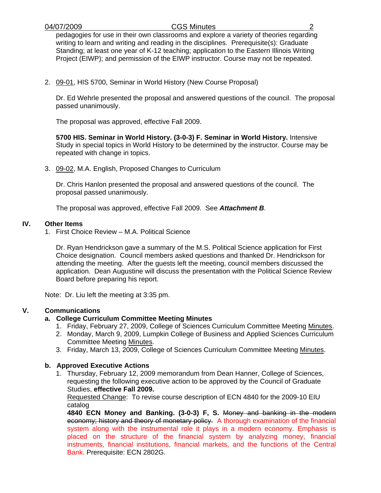pedagogies for use in their own classrooms and explore a variety of theories regarding writing to learn and writing and reading in the disciplines. Prerequisite(s): Graduate Standing; at least one year of K-12 teaching; application to the Eastern Illinois Writing Project (EIWP); and permission of the EIWP instructor. Course may not be repeated.

2. [09-01,](http://www.eiu.edu/~eiucgs/currentagendaitems/agenda09-01.pdf) HIS 5700, Seminar in World History (New Course Proposal)

 Dr. Ed Wehrle presented the proposal and answered questions of the council. The proposal passed unanimously.

The proposal was approved, effective Fall 2009.

**5700 HIS. Seminar in World History. (3-0-3) F. Seminar in World History.** Intensive Study in special topics in World History to be determined by the instructor. Course may be repeated with change in topics.

3. [09-02, M](http://www.eiu.edu/~eiucgs/currentagendaitems/agenda09-02.pdf).A. English, Proposed Changes to Curriculum

Dr. Chris Hanlon presented the proposal and answered questions of the council. The proposal passed unanimously.

The proposal was approved, effective Fall 2009. See *Attachment B*.

### **IV. Other Items**

1. First Choice Review – M.A. Political Science

Dr. Ryan Hendrickson gave a summary of the M.S. Political Science application for First Choice designation. Council members asked questions and thanked Dr. Hendrickson for attending the meeting. After the guests left the meeting, council members discussed the application. Dean Augustine will discuss the presentation with the Political Science Review Board before preparing his report.

Note: Dr. Liu left the meeting at 3:35 pm.

## **V. Communications**

# **a. College Curriculum Committee Meeting Minutes**

- 1. Friday, February 27, 2009, College of Sciences Curriculum Committee Meetin[g Minutes.](http://www.eiu.edu/~eiucgs/currentagendaitems/COSMin2-27-09.pdf)
- 2. Monday, March 9, 2009, Lumpkin College of Business and Applied Sciences Curriculum Committee Meetin[g Minutes.](http://www.eiu.edu/~eiucgs/currentagendaitems/LCBASMin3-9-09.pdf)
- 3. Friday, March 13, 2009, College of Sciences Curriculum Committee Meetin[g Minutes.](http://www.eiu.edu/~eiucgs/currentagendaitems/COSMin3-13-09.pdf)

## **b. Approved Executive Actions**

 1. Thursday, February 12, 2009 memorandum from Dean Hanner, College of Sciences, requesting the following executive action to be approved by the Council of Graduate Studies, **effective Fall 2009.**

Requested Change: To revise course description of ECN 4840 for the 2009-10 EIU catalog

**4840 ECN Money and Banking. (3-0-3) F, S.** Money and banking in the modern economy; history and theory of monetary policy. A thorough examination of the financial system along with the instrumental role it plays in a modern economy. Emphasis is placed on the structure of the financial system by analyzing money, financial instruments, financial institutions, financial markets, and the functions of the Central Bank. Prerequisite: ECN 2802G.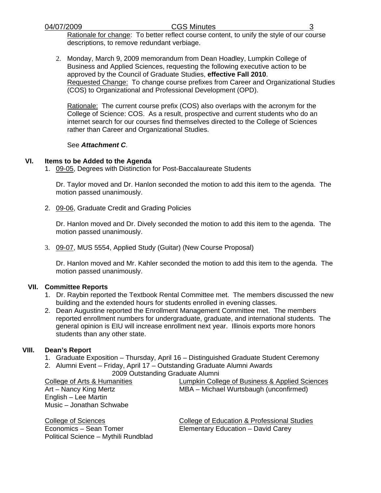Rationale for change: To better reflect course content, to unify the style of our course descriptions, to remove redundant verbiage.

2. Monday, March 9, 2009 memorandum from Dean Hoadley, Lumpkin College of Business and Applied Sciences, requesting the following executive action to be approved by the Council of Graduate Studies, **effective Fall 2010**. Requested Change: To change course prefixes from Career and Organizational Studies (COS) to Organizational and Professional Development (OPD).

Rationale: The current course prefix (COS) also overlaps with the acronym for the College of Science: COS. As a result, prospective and current students who do an internet search for our courses find themselves directed to the College of Sciences rather than Career and Organizational Studies.

### See *Attachment C*.

## **VI. Items to be Added to the Agenda**

1. [09-05, D](http://www.eiu.edu/~eiucgs/currentagendaitems/agenda09-05.pdf)egrees with Distinction for Post-Baccalaureate Students

 Dr. Taylor moved and Dr. Hanlon seconded the motion to add this item to the agenda. The motion passed unanimously.

2. [09-06, G](http://www.eiu.edu/~eiucgs/currentagendaitems/agenda09-06.pdf)raduate Credit and Grading Policies

 Dr. Hanlon moved and Dr. Dively seconded the motion to add this item to the agenda. The motion passed unanimously.

3. [09-07, M](http://www.eiu.edu/~eiucgs/currentagendaitems/agenda09-07.pdf)US 5554, Applied Study (Guitar) (New Course Proposal)

 Dr. Hanlon moved and Mr. Kahler seconded the motion to add this item to the agenda. The motion passed unanimously.

## **VII. Committee Reports**

- 1. Dr. Raybin reported the Textbook Rental Committee met. The members discussed the new building and the extended hours for students enrolled in evening classes.
- 2. Dean Augustine reported the Enrollment Management Committee met. The members reported enrollment numbers for undergraduate, graduate, and international students. The general opinion is EIU will increase enrollment next year. Illinois exports more honors students than any other state.

## **VIII. Dean's Report**

- 1. Graduate Exposition Thursday, April 16 Distinguished Graduate Student Ceremony
- 2. Alumni Event Friday, April 17 Outstanding Graduate Alumni Awards
	- 2009 Outstanding Graduate Alumni

English – Lee Martin Music – Jonathan Schwabe

Political Science – Mythili Rundblad

College of Arts & Humanities Lumpkin College of Business & Applied Sciences Art – Nancy King Mertz **MBA** – Michael Wurtsbaugh (unconfirmed)

College of Sciences<br>
Economics – Sean Tomer<br>
Elementary Education – David Carey<br>
College of Education – David Carey Elementary Education – David Carey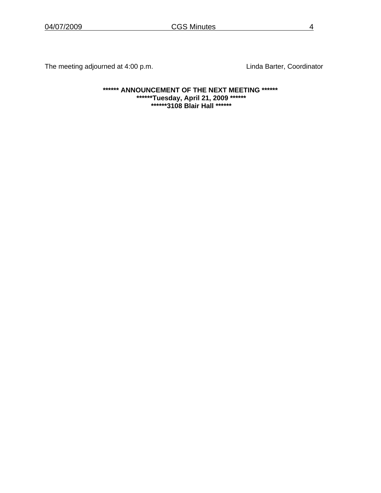The meeting adjourned at 4:00 p.m. The meeting adjourned at 4:00 p.m.

**\*\*\*\*\*\* ANNOUNCEMENT OF THE NEXT MEETING \*\*\*\*\*\* \*\*\*\*\*\*Tuesday, April 21, 2009 \*\*\*\*\*\* \*\*\*\*\*\*3108 Blair Hall \*\*\*\*\*\***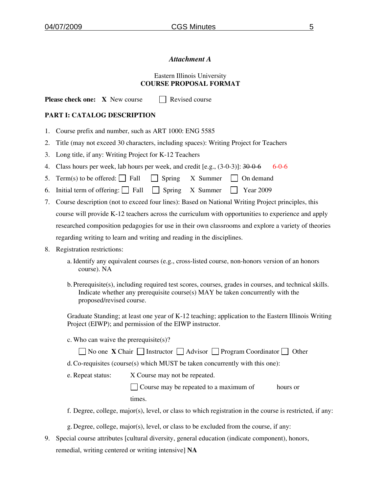## *Attachment A*

### Eastern Illinois University **COURSE PROPOSAL FORMAT**

**Please check one:**  $X$  New course  $\Box$  Revised course

### **PART I: CATALOG DESCRIPTION**

- 1. Course prefix and number, such as ART 1000: ENG 5585
- 2. Title (may not exceed 30 characters, including spaces): Writing Project for Teachers
- 3. Long title, if any: Writing Project for K-12 Teachers
- 4. Class hours per week, lab hours per week, and credit [e.g.,  $(3-0-3)$ ]:  $30-0-6$  6-0-6
- 5. Term(s) to be offered: Fall  $\Box$  Spring X Summer  $\Box$  On demand
- 6. Initial term of offering:  $\Box$  Fall  $\Box$  Spring X Summer  $\Box$  Year 2009
- 7. Course description (not to exceed four lines): Based on National Writing Project principles, this course will provide K-12 teachers across the curriculum with opportunities to experience and apply researched composition pedagogies for use in their own classrooms and explore a variety of theories regarding writing to learn and writing and reading in the disciplines.
- 8. Registration restrictions:
	- a. Identify any equivalent courses (e.g., cross-listed course, non-honors version of an honors course). NA
	- b.Prerequisite(s), including required test scores, courses, grades in courses, and technical skills. Indicate whether any prerequisite course(s) MAY be taken concurrently with the proposed/revised course.

Graduate Standing; at least one year of K-12 teaching; application to the Eastern Illinois Writing Project (EIWP); and permission of the EIWP instructor.

c. Who can waive the prerequisite(s)?

|  |  |  | No one X Chair $\Box$ Instructor $\Box$ Advisor $\Box$ Program Coordinator $\Box$ Other |  |
|--|--|--|-----------------------------------------------------------------------------------------|--|
|--|--|--|-----------------------------------------------------------------------------------------|--|

d.Co-requisites (course(s) which MUST be taken concurrently with this one):

e. Repeat status: X Course may not be repeated.

 Course may be repeated to a maximum of hours or times.

f. Degree, college, major(s), level, or class to which registration in the course is restricted, if any:

g.Degree, college, major(s), level, or class to be excluded from the course, if any:

9. Special course attributes [cultural diversity, general education (indicate component), honors, remedial, writing centered or writing intensive] **NA**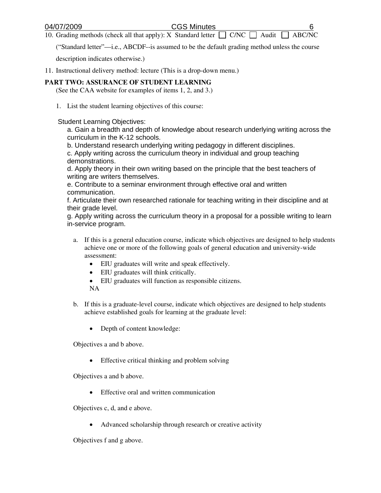10. Grading methods (check all that apply): X Standard letter  $\Box$  C/NC  $\Box$  Audit

("Standard letter"—i.e., ABCDF--is assumed to be the default grading method unless the course

description indicates otherwise.)

11. Instructional delivery method: lecture (This is a drop-down menu.)

#### **PART TWO: ASSURANCE OF STUDENT LEARNING**

(See the CAA website for examples of items 1, 2, and 3.)

1. List the student learning objectives of this course:

Student Learning Objectives:

a. Gain a breadth and depth of knowledge about research underlying writing across the curriculum in the K-12 schools.

b. Understand research underlying writing pedagogy in different disciplines.

c. Apply writing across the curriculum theory in individual and group teaching demonstrations.

d. Apply theory in their own writing based on the principle that the best teachers of writing are writers themselves.

e. Contribute to a seminar environment through effective oral and written communication.

f. Articulate their own researched rationale for teaching writing in their discipline and at their grade level.

g. Apply writing across the curriculum theory in a proposal for a possible writing to learn in-service program.

- a. If this is a general education course, indicate which objectives are designed to help students achieve one or more of the following goals of general education and university-wide assessment:
	- EIU graduates will write and speak effectively.
	- EIU graduates will think critically.
	- EIU graduates will function as responsible citizens.

NA

- b. If this is a graduate-level course, indicate which objectives are designed to help students achieve established goals for learning at the graduate level:
	- Depth of content knowledge:

Objectives a and b above.

• Effective critical thinking and problem solving

Objectives a and b above.

• Effective oral and written communication

Objectives c, d, and e above.

• Advanced scholarship through research or creative activity

Objectives f and g above.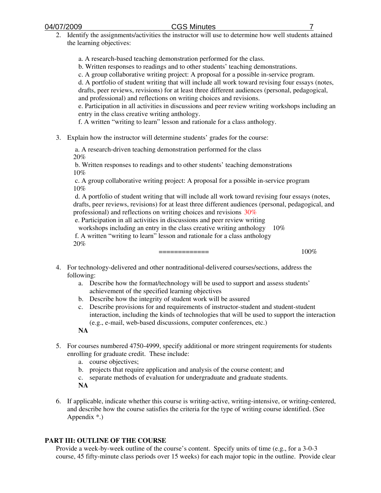2. Identify the assignments/activities the instructor will use to determine how well students attained the learning objectives:

a. A research-based teaching demonstration performed for the class.

b. Written responses to readings and to other students' teaching demonstrations.

c. A group collaborative writing project: A proposal for a possible in-service program.

d. A portfolio of student writing that will include all work toward revising four essays (notes, drafts, peer reviews, revisions) for at least three different audiences (personal, pedagogical,

and professional) and reflections on writing choices and revisions.

e. Participation in all activities in discussions and peer review writing workshops including an entry in the class creative writing anthology.

f. A written "writing to learn" lesson and rationale for a class anthology.

3. Explain how the instructor will determine students' grades for the course:

 a. A research-driven teaching demonstration performed for the class 20%

 b. Written responses to readings and to other students' teaching demonstrations 10%

 c. A group collaborative writing project: A proposal for a possible in-service program 10%

 d. A portfolio of student writing that will include all work toward revising four essays (notes, drafts, peer reviews, revisions) for at least three different audiences (personal, pedagogical, and professional) and reflections on writing choices and revisions 30%

e. Participation in all activities in discussions and peer review writing

workshops including an entry in the class creative writing anthology 10%

 f. A written "writing to learn" lesson and rationale for a class anthology 20%

============= 100%

- 4. For technology-delivered and other nontraditional-delivered courses/sections, address the following:
	- a. Describe how the format/technology will be used to support and assess students' achievement of the specified learning objectives
	- b. Describe how the integrity of student work will be assured
	- c. Describe provisions for and requirements of instructor-student and student-student interaction, including the kinds of technologies that will be used to support the interaction (e.g., e-mail, web-based discussions, computer conferences, etc.)
	- **NA**
- 5. For courses numbered 4750-4999, specify additional or more stringent requirements for students enrolling for graduate credit. These include:
	- a. course objectives;
	- b. projects that require application and analysis of the course content; and
	- c. separate methods of evaluation for undergraduate and graduate students.
	- **NA**
- 6. If applicable, indicate whether this course is writing-active, writing-intensive, or writing-centered, and describe how the course satisfies the criteria for the type of writing course identified. (See Appendix \*.)

## **PART III: OUTLINE OF THE COURSE**

Provide a week-by-week outline of the course's content. Specify units of time (e.g., for a 3-0-3 course, 45 fifty-minute class periods over 15 weeks) for each major topic in the outline. Provide clear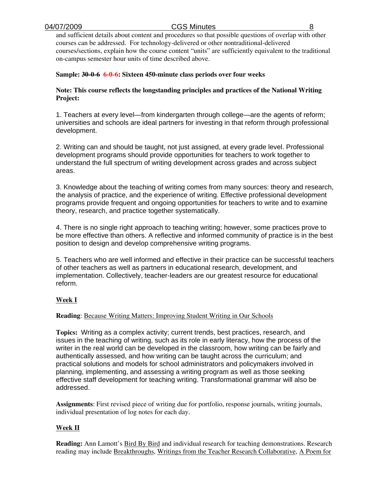and sufficient details about content and procedures so that possible questions of overlap with other courses can be addressed. For technology-delivered or other nontraditional-delivered courses/sections, explain how the course content "units" are sufficiently equivalent to the traditional on-campus semester hour units of time described above.

### **Sample: 30-0-6 6-0-6: Sixteen 450-minute class periods over four weeks**

### **Note: This course reflects the longstanding principles and practices of the National Writing Project:**

1. Teachers at every level—from kindergarten through college—are the agents of reform; universities and schools are ideal partners for investing in that reform through professional development.

2. Writing can and should be taught, not just assigned, at every grade level. Professional development programs should provide opportunities for teachers to work together to understand the full spectrum of writing development across grades and across subject areas.

3. Knowledge about the teaching of writing comes from many sources: theory and research, the analysis of practice, and the experience of writing. Effective professional development programs provide frequent and ongoing opportunities for teachers to write and to examine theory, research, and practice together systematically.

4. There is no single right approach to teaching writing; however, some practices prove to be more effective than others. A reflective and informed community of practice is in the best position to design and develop comprehensive writing programs.

5. Teachers who are well informed and effective in their practice can be successful teachers of other teachers as well as partners in educational research, development, and implementation. Collectively, teacher-leaders are our greatest resource for educational reform.

## **Week I**

#### **Reading**: Because Writing Matters: Improving Student Writing in Our Schools

**Topics:** Writing as a complex activity; current trends, best practices, research, and issues in the teaching of writing, such as its role in early literacy, how the process of the writer in the real world can be developed in the classroom, how writing can be fairly and authentically assessed, and how writing can be taught across the curriculum; and practical solutions and models for school administrators and policymakers involved in planning, implementing, and assessing a writing program as well as those seeking effective staff development for teaching writing. Transformational grammar will also be addressed.

**Assignments**: First revised piece of writing due for portfolio, response journals, writing journals, individual presentation of log notes for each day.

## **Week II**

**Reading:** Ann Lamott's Bird By Bird and individual research for teaching demonstrations. Research reading may include Breakthroughs, Writings from the Teacher Research Collaborative, A Poem for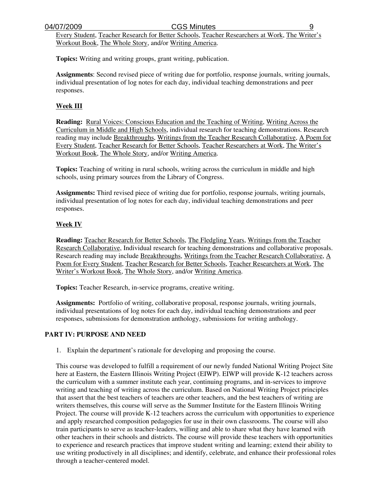Every Student, Teacher Research for Better Schools, Teacher Researchers at Work, The Writer's Workout Book, The Whole Story, and/or Writing America.

**Topics:** Writing and writing groups, grant writing, publication.

**Assignments**: Second revised piece of writing due for portfolio, response journals, writing journals, individual presentation of log notes for each day, individual teaching demonstrations and peer responses.

### **Week III**

**Reading:** Rural Voices: Conscious Education and the Teaching of Writing, Writing Across the Curriculum in Middle and High Schools, individual research for teaching demonstrations. Research reading may include Breakthroughs, Writings from the Teacher Research Collaborative, A Poem for Every Student, Teacher Research for Better Schools, Teacher Researchers at Work, The Writer's Workout Book, The Whole Story, and/or Writing America.

**Topics:** Teaching of writing in rural schools, writing across the curriculum in middle and high schools, using primary sources from the Library of Congress.

**Assignments:** Third revised piece of writing due for portfolio, response journals, writing journals, individual presentation of log notes for each day, individual teaching demonstrations and peer responses.

### **Week IV**

**Reading:** Teacher Research for Better Schools, The Fledgling Years, Writings from the Teacher Research Collaborative, Individual research for teaching demonstrations and collaborative proposals. Research reading may include Breakthroughs, Writings from the Teacher Research Collaborative, A Poem for Every Student, Teacher Research for Better Schools, Teacher Researchers at Work, The Writer's Workout Book, The Whole Story, and/or Writing America.

**Topics:** Teacher Research, in-service programs, creative writing.

**Assignments:** Portfolio of writing, collaborative proposal, response journals, writing journals, individual presentations of log notes for each day, individual teaching demonstrations and peer responses, submissions for demonstration anthology, submissions for writing anthology.

#### **PART IV: PURPOSE AND NEED**

1. Explain the department's rationale for developing and proposing the course.

This course was developed to fulfill a requirement of our newly funded National Writing Project Site here at Eastern, the Eastern Illinois Writing Project (EIWP). EIWP will provide K-12 teachers across the curriculum with a summer institute each year, continuing programs, and in-services to improve writing and teaching of writing across the curriculum. Based on National Writing Project principles that assert that the best teachers of teachers are other teachers, and the best teachers of writing are writers themselves, this course will serve as the Summer Institute for the Eastern Illinois Writing Project. The course will provide K-12 teachers across the curriculum with opportunities to experience and apply researched composition pedagogies for use in their own classrooms. The course will also train participants to serve as teacher-leaders, willing and able to share what they have learned with other teachers in their schools and districts. The course will provide these teachers with opportunities to experience and research practices that improve student writing and learning; extend their ability to use writing productively in all disciplines; and identify, celebrate, and enhance their professional roles through a teacher-centered model.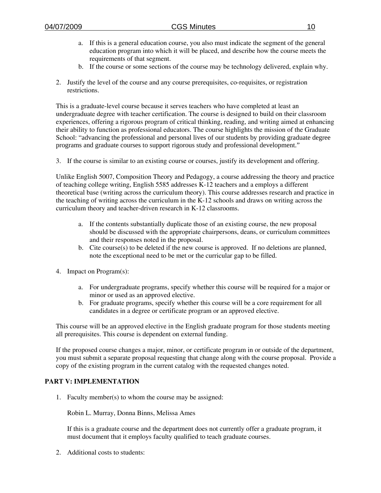- a. If this is a general education course, you also must indicate the segment of the general education program into which it will be placed, and describe how the course meets the requirements of that segment.
- b. If the course or some sections of the course may be technology delivered, explain why.
- 2. Justify the level of the course and any course prerequisites, co-requisites, or registration restrictions.

This is a graduate-level course because it serves teachers who have completed at least an undergraduate degree with teacher certification. The course is designed to build on their classroom experiences, offering a rigorous program of critical thinking, reading, and writing aimed at enhancing their ability to function as professional educators. The course highlights the mission of the Graduate School: "advancing the professional and personal lives of our students by providing graduate degree programs and graduate courses to support rigorous study and professional development."

3. If the course is similar to an existing course or courses, justify its development and offering.

Unlike English 5007, Composition Theory and Pedagogy, a course addressing the theory and practice of teaching college writing, English 5585 addresses K-12 teachers and a employs a different theoretical base (writing across the curriculum theory). This course addresses research and practice in the teaching of writing across the curriculum in the K-12 schools and draws on writing across the curriculum theory and teacher-driven research in K-12 classrooms.

- a. If the contents substantially duplicate those of an existing course, the new proposal should be discussed with the appropriate chairpersons, deans, or curriculum committees and their responses noted in the proposal.
- b. Cite course(s) to be deleted if the new course is approved. If no deletions are planned, note the exceptional need to be met or the curricular gap to be filled.
- 4. Impact on Program(s):
	- a. For undergraduate programs, specify whether this course will be required for a major or minor or used as an approved elective.
	- b. For graduate programs, specify whether this course will be a core requirement for all candidates in a degree or certificate program or an approved elective.

This course will be an approved elective in the English graduate program for those students meeting all prerequisites. This course is dependent on external funding.

If the proposed course changes a major, minor, or certificate program in or outside of the department, you must submit a separate proposal requesting that change along with the course proposal. Provide a copy of the existing program in the current catalog with the requested changes noted.

## **PART V: IMPLEMENTATION**

1. Faculty member(s) to whom the course may be assigned:

Robin L. Murray, Donna Binns, Melissa Ames

If this is a graduate course and the department does not currently offer a graduate program, it must document that it employs faculty qualified to teach graduate courses.

2. Additional costs to students: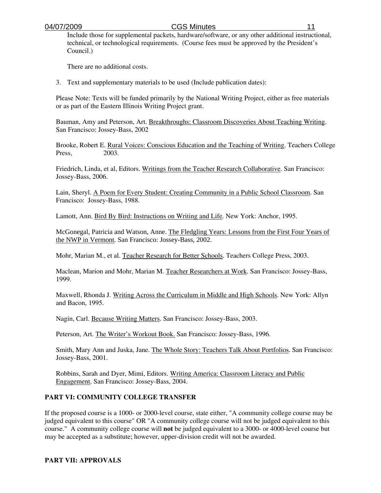Include those for supplemental packets, hardware/software, or any other additional instructional, technical, or technological requirements. (Course fees must be approved by the President's Council.)

There are no additional costs.

3. Text and supplementary materials to be used (Include publication dates):

Please Note: Texts will be funded primarily by the National Writing Project, either as free materials or as part of the Eastern Illinois Writing Project grant.

Bauman, Amy and Peterson, Art. Breakthroughs: Classroom Discoveries About Teaching Writing. San Francisco: Jossey-Bass, 2002

Brooke, Robert E. Rural Voices: Conscious Education and the Teaching of Writing. Teachers College Press, 2003.

Friedrich, Linda, et al, Editors. Writings from the Teacher Research Collaborative. San Francisco: Jossey-Bass, 2006.

Lain, Sheryl. A Poem for Every Student: Creating Community in a Public School Classroom. San Francisco: Jossey-Bass, 1988.

Lamott, Ann. Bird By Bird: Instructions on Writing and Life. New York: Anchor, 1995.

McGonegal, Patricia and Watson, Anne. The Fledgling Years: Lessons from the First Four Years of the NWP in Vermont. San Francisco: Jossey-Bass, 2002.

Mohr, Marian M., et al. Teacher Research for Better Schools. Teachers College Press, 2003.

Maclean, Marion and Mohr, Marian M. Teacher Researchers at Work. San Francisco: Jossey-Bass, 1999.

Maxwell, Rhonda J. Writing Across the Curriculum in Middle and High Schools. New York: Allyn and Bacon, 1995.

Nagin, Carl. Because Writing Matters. San Francisco: Jossey-Bass, 2003.

Peterson, Art. The Writer's Workout Book. San Francisco: Jossey-Bass, 1996.

Smith, Mary Ann and Juska, Jane. The Whole Story: Teachers Talk About Portfolios. San Francisco: Jossey-Bass, 2001.

Robbins, Sarah and Dyer, Mimi, Editors. Writing America: Classroom Literacy and Public Engagement. San Francisco: Jossey-Bass, 2004.

## **PART VI: COMMUNITY COLLEGE TRANSFER**

If the proposed course is a 1000- or 2000-level course, state either, "A community college course may be judged equivalent to this course" OR "A community college course will not be judged equivalent to this course." A community college course will **not** be judged equivalent to a 3000- or 4000-level course but may be accepted as a substitute; however, upper-division credit will not be awarded.

#### **PART VII: APPROVALS**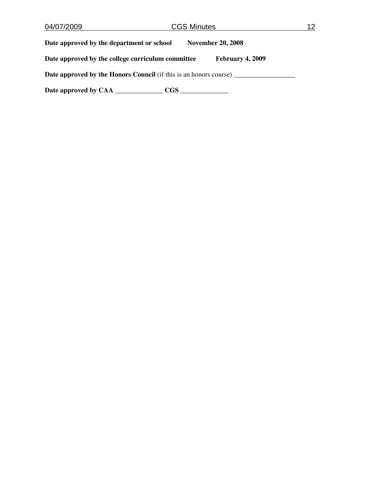| 04/07/2009                                                               | <b>CGS Minutes</b> |                          |  |  |
|--------------------------------------------------------------------------|--------------------|--------------------------|--|--|
| Date approved by the department or school                                |                    | <b>November 20, 2008</b> |  |  |
| Date approved by the college curriculum committee                        |                    | February 4, 2009         |  |  |
| <b>Date approved by the Honors Council</b> (if this is an honors course) |                    |                          |  |  |
| Date approved by CAA                                                     | CGS –              |                          |  |  |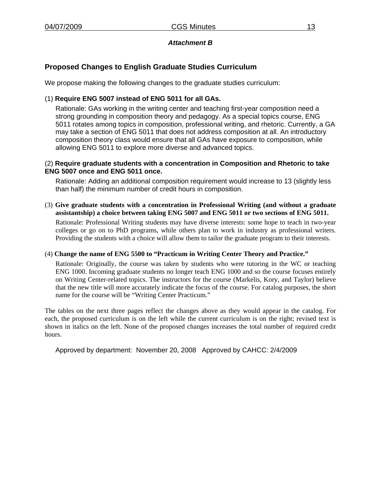## *Attachment B*

# **Proposed Changes to English Graduate Studies Curriculum**

We propose making the following changes to the graduate studies curriculum:

## (1) **Require ENG 5007 instead of ENG 5011 for all GAs.**

Rationale: GAs working in the writing center and teaching first-year composition need a strong grounding in composition theory and pedagogy. As a special topics course, ENG 5011 rotates among topics in composition, professional writing, and rhetoric. Currently, a GA may take a section of ENG 5011 that does not address composition at all. An introductory composition theory class would ensure that all GAs have exposure to composition, while allowing ENG 5011 to explore more diverse and advanced topics.

### (2) **Require graduate students with a concentration in Composition and Rhetoric to take ENG 5007 once and ENG 5011 once.**

Rationale: Adding an additional composition requirement would increase to 13 (slightly less than half) the minimum number of credit hours in composition.

### (3) **Give graduate students with a concentration in Professional Writing (and without a graduate assistantship) a choice between taking ENG 5007 and ENG 5011 or two sections of ENG 5011.**

Rationale: Professional Writing students may have diverse interests: some hope to teach in two-year colleges or go on to PhD programs, while others plan to work in industry as professional writers. Providing the students with a choice will allow them to tailor the graduate program to their interests.

#### (4) **Change the name of ENG 5500 to "Practicum in Writing Center Theory and Practice."**

Rationale: Originally, the course was taken by students who were tutoring in the WC or teaching ENG 1000. Incoming graduate students no longer teach ENG 1000 and so the course focuses entirely on Writing Center-related topics. The instructors for the course (Markelis, Kory, and Taylor) believe that the new title will more accurately indicate the focus of the course. For catalog purposes, the short name for the course will be "Writing Center Practicum."

The tables on the next three pages reflect the changes above as they would appear in the catalog. For each, the proposed curriculum is on the left while the current curriculum is on the right; revised text is shown in italics on the left. None of the proposed changes increases the total number of required credit hours.

Approved by department: November 20, 2008 Approved by CAHCC: 2/4/2009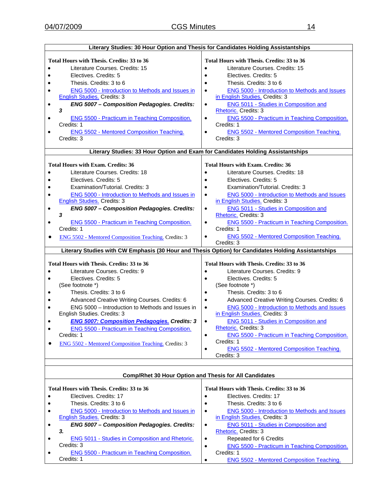| Literary Studies: 30 Hour Option and Thesis for Candidates Holding Assistantships                                                                                                                                                                                                                                                                                                                                                                                                                                                        |                                                                                                                                                                                                                                                                                                                                                                                                                                                                                                                                                                                 |  |  |  |
|------------------------------------------------------------------------------------------------------------------------------------------------------------------------------------------------------------------------------------------------------------------------------------------------------------------------------------------------------------------------------------------------------------------------------------------------------------------------------------------------------------------------------------------|---------------------------------------------------------------------------------------------------------------------------------------------------------------------------------------------------------------------------------------------------------------------------------------------------------------------------------------------------------------------------------------------------------------------------------------------------------------------------------------------------------------------------------------------------------------------------------|--|--|--|
|                                                                                                                                                                                                                                                                                                                                                                                                                                                                                                                                          |                                                                                                                                                                                                                                                                                                                                                                                                                                                                                                                                                                                 |  |  |  |
| <b>Total Hours with Thesis. Credits: 33 to 36</b><br>Literature Courses, Credits: 15<br>Electives, Credits: 5<br>Thesis. Credits: 3 to 6<br><b>ENG 5000 - Introduction to Methods and Issues in</b><br>٠<br>English Studies. Credits: 3<br>ENG 5007 - Composition Pedagogies. Credits:<br>٠<br>3<br><b>ENG 5500 - Practicum in Teaching Composition.</b><br>$\bullet$<br>Credits: 1<br><b>ENG 5502 - Mentored Composition Teaching.</b><br>$\bullet$<br>Credits: 3                                                                       | Total Hours with Thesis. Credits: 33 to 36<br>Literature Courses, Credits: 15<br>Electives, Credits: 5<br>Thesis. Credits: 3 to 6<br><b>ENG 5000 - Introduction to Methods and Issues</b><br>٠<br>in English Studies. Credits: 3<br><b>ENG 5011 - Studies in Composition and</b><br>$\bullet$<br>Rhetoric. Credits: 3<br>ENG 5500 - Practicum in Teaching Composition.<br>$\bullet$<br>Credits: 1<br><b>ENG 5502 - Mentored Composition Teaching.</b><br>$\bullet$<br>Credits: 3                                                                                                |  |  |  |
| Literary Studies: 33 Hour Option and Exam for Candidates Holding Assistantships                                                                                                                                                                                                                                                                                                                                                                                                                                                          |                                                                                                                                                                                                                                                                                                                                                                                                                                                                                                                                                                                 |  |  |  |
| <b>Total Hours with Exam. Credits: 36</b><br>Literature Courses, Credits: 18<br>Electives, Credits: 5<br>Examination/Tutorial, Credits: 3<br>ENG 5000 - Introduction to Methods and Issues in<br><b>English Studies. Credits: 3</b><br>ENG 5007 - Composition Pedagogies. Credits:<br>٠<br>3<br><b>ENG 5500 - Practicum in Teaching Composition.</b><br>$\bullet$<br>Credits: 1<br>ENG 5502 - Mentored Composition Teaching. Credits: 3<br>٠                                                                                             | <b>Total Hours with Exam. Credits: 36</b><br>Literature Courses, Credits: 18<br>Electives, Credits: 5<br>Examination/Tutorial, Credits: 3<br>ENG 5000 - Introduction to Methods and Issues<br>in English Studies. Credits: 3<br><b>ENG 5011 - Studies in Composition and</b><br>$\bullet$<br>Rhetoric. Credits: 3<br>ENG 5500 - Practicum in Teaching Composition.<br>$\bullet$<br>Credits: 1<br><b>ENG 5502 - Mentored Composition Teaching.</b><br>$\bullet$<br>Credits: 3                                                                                                    |  |  |  |
| Literary Studies with CW Emphasis (30 Hour and Thesis Option) for Candidates Holding Assistantships                                                                                                                                                                                                                                                                                                                                                                                                                                      |                                                                                                                                                                                                                                                                                                                                                                                                                                                                                                                                                                                 |  |  |  |
| Total Hours with Thesis. Credits: 33 to 36<br>Literature Courses. Credits: 9<br>Electives. Credits: 5<br>$\bullet$<br>(See footnote *)<br>Thesis. Credits: 3 to 6<br>$\bullet$<br>Advanced Creative Writing Courses. Credits: 6<br>ENG 5000 - Introduction to Methods and Issues in<br>$\bullet$<br>English Studies. Credits: 3<br><b>ENG 5007: Composition Pedagogies. Credits: 3</b><br><b>ENG 5500 - Practicum in Teaching Composition.</b><br>$\bullet$<br>Credits: 1<br><b>ENG 5502 - Mentored Composition Teaching. Credits: 3</b> | Total Hours with Thesis. Credits: 33 to 36<br>Literature Courses, Credits: 9<br>$\bullet$<br>Electives. Credits: 5<br>$\bullet$<br>(See footnote *)<br>Thesis. Credits: 3 to 6<br>Advanced Creative Writing Courses. Credits: 6<br>$\bullet$<br>ENG 5000 - Introduction to Methods and Issues<br>$\bullet$<br>in English Studies. Credits: 3<br><b>ENG 5011 - Studies in Composition and</b><br>Rhetoric. Credits: 3<br>ENG 5500 - Practicum in Teaching Composition.<br>$\bullet$<br>Credits: 1<br><b>ENG 5502 - Mentored Composition Teaching.</b><br>$\bullet$<br>Credits: 3 |  |  |  |
|                                                                                                                                                                                                                                                                                                                                                                                                                                                                                                                                          |                                                                                                                                                                                                                                                                                                                                                                                                                                                                                                                                                                                 |  |  |  |
| Comp/Rhet 30 Hour Option and Thesis for All Candidates                                                                                                                                                                                                                                                                                                                                                                                                                                                                                   |                                                                                                                                                                                                                                                                                                                                                                                                                                                                                                                                                                                 |  |  |  |
| Total Hours with Thesis. Credits: 33 to 36<br>Electives, Credits: 17<br>Thesis. Credits: 3 to 6<br><b>ENG 5000 - Introduction to Methods and Issues in</b><br>٠                                                                                                                                                                                                                                                                                                                                                                          | Total Hours with Thesis. Credits: 33 to 36<br>Electives, Credits: 17<br>$\bullet$<br>Thesis. Credits: 3 to 6<br><b>ENG 5000 - Introduction to Methods and Issues</b><br>$\bullet$                                                                                                                                                                                                                                                                                                                                                                                               |  |  |  |

• ENG 5000 - Introduction to Methods and Issues in English Studies. Credits: 3

• *ENG 5007 – Composition Pedagogies. Credits: 3.* 

• **ENG 5011 - Studies in Composition and Rhetoric.** Credits: 3

- **ENG 5500 Practicum in Teaching Composition.** Credits: 1
- in English Studies. Credits: 3 • ENG 5011 - Studies in Composition and
	- Rhetoric. Credits: 3
- Repeated for 6 Credits • ENG 5500 - Practicum in Teaching Composition.
- Credits: 1 • **ENG 5502 - Mentored Composition Teaching.**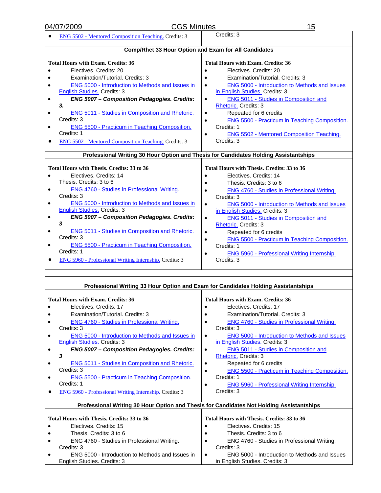| <b>CGS Minutes</b><br>04/07/2009                                                                    | 15                                                                                           |  |  |  |
|-----------------------------------------------------------------------------------------------------|----------------------------------------------------------------------------------------------|--|--|--|
| <b>ENG 5502 - Mentored Composition Teaching. Credits: 3</b>                                         | Credits: 3                                                                                   |  |  |  |
|                                                                                                     |                                                                                              |  |  |  |
| Comp/Rhet 33 Hour Option and Exam for All Candidates                                                |                                                                                              |  |  |  |
| <b>Total Hours with Exam. Credits: 36</b>                                                           | <b>Total Hours with Exam. Credits: 36</b>                                                    |  |  |  |
| Electives, Credits: 20                                                                              | Electives, Credits: 20                                                                       |  |  |  |
| Examination/Tutorial, Credits: 3                                                                    | Examination/Tutorial, Credits: 3                                                             |  |  |  |
| ENG 5000 - Introduction to Methods and Issues in                                                    | <b>ENG 5000 - Introduction to Methods and Issues</b>                                         |  |  |  |
| <b>English Studies. Credits: 3</b>                                                                  | in English Studies. Credits: 3                                                               |  |  |  |
| ENG 5007 - Composition Pedagogies. Credits:<br>$\bullet$                                            | <b>ENG 5011 - Studies in Composition and</b><br>$\bullet$                                    |  |  |  |
| 3.                                                                                                  | Rhetoric. Credits: 3                                                                         |  |  |  |
| ENG 5011 - Studies in Composition and Rhetoric.<br>٠                                                | Repeated for 6 credits<br>$\bullet$                                                          |  |  |  |
| Credits: 3                                                                                          | ENG 5500 - Practicum in Teaching Composition.<br>$\bullet$                                   |  |  |  |
| <b>ENG 5500 - Practicum in Teaching Composition.</b><br>٠                                           | Credits: 1                                                                                   |  |  |  |
| Credits: 1                                                                                          | <b>ENG 5502 - Mentored Composition Teaching.</b><br>$\bullet$                                |  |  |  |
| <b>ENG 5502 - Mentored Composition Teaching. Credits: 3</b>                                         | Credits: 3                                                                                   |  |  |  |
|                                                                                                     |                                                                                              |  |  |  |
| Professional Writing 30 Hour Option and Thesis for Candidates Holding Assistantships                |                                                                                              |  |  |  |
| Total Hours with Thesis. Credits: 33 to 36                                                          | Total Hours with Thesis. Credits: 33 to 36                                                   |  |  |  |
| Electives, Credits: 14<br>$\bullet$                                                                 | Electives, Credits: 14                                                                       |  |  |  |
| Thesis. Credits: 3 to 6                                                                             | Thesis. Credits: 3 to 6                                                                      |  |  |  |
| <b>ENG 4760 - Studies in Professional Writing.</b><br>٠                                             | <b>ENG 4760 - Studies in Professional Writing.</b><br>$\bullet$                              |  |  |  |
| Credits: 3                                                                                          | Credits: 3                                                                                   |  |  |  |
| <b>ENG 5000 - Introduction to Methods and Issues in</b><br>٠                                        | <b>ENG 5000 - Introduction to Methods and Issues</b><br>$\bullet$                            |  |  |  |
| English Studies. Credits: 3                                                                         | in English Studies. Credits: 3                                                               |  |  |  |
| ENG 5007 - Composition Pedagogies. Credits:<br>$\bullet$<br>3                                       | ENG 5011 - Studies in Composition and<br>$\bullet$                                           |  |  |  |
| <b>ENG 5011 - Studies in Composition and Rhetoric.</b>                                              | Rhetoric. Credits: 3                                                                         |  |  |  |
| $\bullet$<br>Credits: 3                                                                             | Repeated for 6 credits<br>$\bullet$                                                          |  |  |  |
| <b>ENG 5500 - Practicum in Teaching Composition.</b><br>$\bullet$                                   | <b>ENG 5500 - Practicum in Teaching Composition.</b><br>$\bullet$<br>Credits: 1              |  |  |  |
| Credits: 1                                                                                          | ENG 5960 - Professional Writing Internship.<br>$\bullet$                                     |  |  |  |
| <b>ENG 5960 - Professional Writing Internship.</b> Credits: 3                                       | Credits: 3                                                                                   |  |  |  |
|                                                                                                     |                                                                                              |  |  |  |
|                                                                                                     |                                                                                              |  |  |  |
| Professional Writing 33 Hour Option and Exam for Candidates Holding Assistantships                  |                                                                                              |  |  |  |
|                                                                                                     |                                                                                              |  |  |  |
| Total Hours with Exam. Credits: 36                                                                  | Total Hours with Exam. Credits: 36                                                           |  |  |  |
| Electives. Credits: 17                                                                              | Electives. Credits: 17<br>$\bullet$                                                          |  |  |  |
| Examination/Tutorial. Credits: 3                                                                    | Examination/Tutorial. Credits: 3                                                             |  |  |  |
| ENG 4760 - Studies in Professional Writing.                                                         | <b>ENG 4760 - Studies in Professional Writing.</b><br>$\bullet$                              |  |  |  |
| Credits: 3                                                                                          | Credits: 3                                                                                   |  |  |  |
| ENG 5000 - Introduction to Methods and Issues in<br>$\bullet$<br><b>English Studies. Credits: 3</b> | ENG 5000 - Introduction to Methods and Issues<br>$\bullet$<br>in English Studies. Credits: 3 |  |  |  |
| ENG 5007 - Composition Pedagogies. Credits:<br>٠                                                    | <b>ENG 5011 - Studies in Composition and</b><br>$\bullet$                                    |  |  |  |
| 3                                                                                                   | Rhetoric. Credits: 3                                                                         |  |  |  |
| ENG 5011 - Studies in Composition and Rhetoric.<br>٠                                                | Repeated for 6 credits<br>$\bullet$                                                          |  |  |  |
| Credits: 3                                                                                          | ENG 5500 - Practicum in Teaching Composition.<br>$\bullet$                                   |  |  |  |
| ENG 5500 - Practicum in Teaching Composition.<br>٠                                                  | Credits: 1                                                                                   |  |  |  |
| Credits: 1                                                                                          | <b>ENG 5960 - Professional Writing Internship.</b><br>$\bullet$                              |  |  |  |
| <b>ENG 5960 - Professional Writing Internship.</b> Credits: 3                                       | Credits: 3                                                                                   |  |  |  |
|                                                                                                     |                                                                                              |  |  |  |
| Professional Writing 30 Hour Option and Thesis for Candidates Not Holding Assistantships            |                                                                                              |  |  |  |
| Total Hours with Thesis. Credits: 33 to 36                                                          | Total Hours with Thesis. Credits: 33 to 36                                                   |  |  |  |
| Electives, Credits: 15                                                                              | Electives. Credits: 15                                                                       |  |  |  |
| Thesis. Credits: 3 to 6                                                                             | Thesis. Credits: 3 to 6                                                                      |  |  |  |
| ENG 4760 - Studies in Professional Writing.                                                         | ENG 4760 - Studies in Professional Writing.                                                  |  |  |  |
| Credits: 3                                                                                          | Credits: 3                                                                                   |  |  |  |
| ENG 5000 - Introduction to Methods and Issues in                                                    | ENG 5000 - Introduction to Methods and Issues                                                |  |  |  |
| English Studies. Credits: 3                                                                         | in English Studies. Credits: 3                                                               |  |  |  |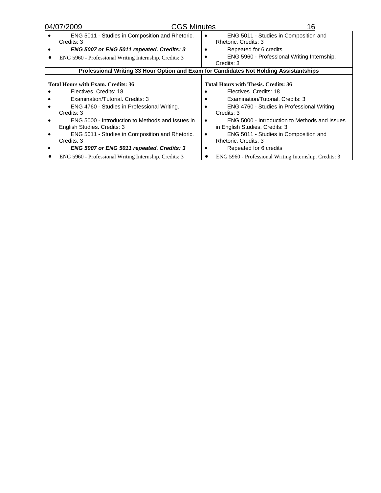| 04/07/2009                                                                             |                                                                                 | <b>CGS Minutes</b> | 16                                                                              |
|----------------------------------------------------------------------------------------|---------------------------------------------------------------------------------|--------------------|---------------------------------------------------------------------------------|
|                                                                                        | ENG 5011 - Studies in Composition and Rhetoric.<br>Credits: 3                   |                    | ENG 5011 - Studies in Composition and<br>Rhetoric. Credits: 3                   |
|                                                                                        | ENG 5007 or ENG 5011 repeated. Credits: 3                                       |                    | Repeated for 6 credits                                                          |
|                                                                                        | ENG 5960 - Professional Writing Internship. Credits: 3                          |                    | ENG 5960 - Professional Writing Internship.<br>Credits: 3                       |
| Professional Writing 33 Hour Option and Exam for Candidates Not Holding Assistantships |                                                                                 |                    |                                                                                 |
|                                                                                        | <b>Total Hours with Exam. Credits: 36</b>                                       |                    | <b>Total Hours with Thesis. Credits: 36</b>                                     |
|                                                                                        | Electives, Credits: 18                                                          |                    | Electives, Credits: 18                                                          |
|                                                                                        | Examination/Tutorial, Credits: 3                                                |                    | Examination/Tutorial, Credits: 3                                                |
|                                                                                        | ENG 4760 - Studies in Professional Writing.<br>Credits: 3                       |                    | ENG 4760 - Studies in Professional Writing.<br>Credits: 3                       |
|                                                                                        | ENG 5000 - Introduction to Methods and Issues in<br>English Studies. Credits: 3 |                    | ENG 5000 - Introduction to Methods and Issues<br>in English Studies. Credits: 3 |
|                                                                                        | ENG 5011 - Studies in Composition and Rhetoric.<br>Credits: 3                   |                    | ENG 5011 - Studies in Composition and<br>Rhetoric. Credits: 3                   |
|                                                                                        | ENG 5007 or ENG 5011 repeated. Credits: 3                                       |                    | Repeated for 6 credits                                                          |
|                                                                                        | ENG 5960 - Professional Writing Internship. Credits: 3                          |                    | ENG 5960 - Professional Writing Internship. Credits: 3                          |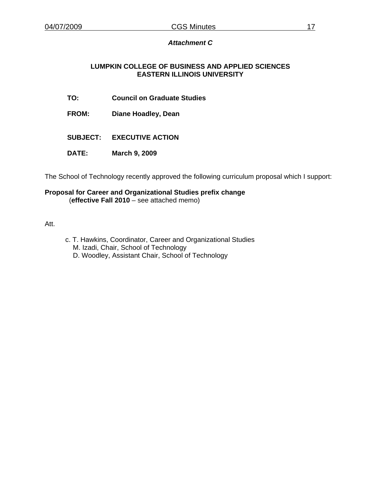### *Attachment C*

### **LUMPKIN COLLEGE OF BUSINESS AND APPLIED SCIENCES EASTERN ILLINOIS UNIVERSITY**

- **TO: Council on Graduate Studies**
- **FROM: Diane Hoadley, Dean**
- **SUBJECT: EXECUTIVE ACTION**
- **DATE: March 9, 2009**

The School of Technology recently approved the following curriculum proposal which I support:

#### **Proposal for Career and Organizational Studies prefix change**  (**effective Fall 2010** – see attached memo)

Att.

- c. T. Hawkins, Coordinator, Career and Organizational Studies
	- M. Izadi, Chair, School of Technology
	- D. Woodley, Assistant Chair, School of Technology